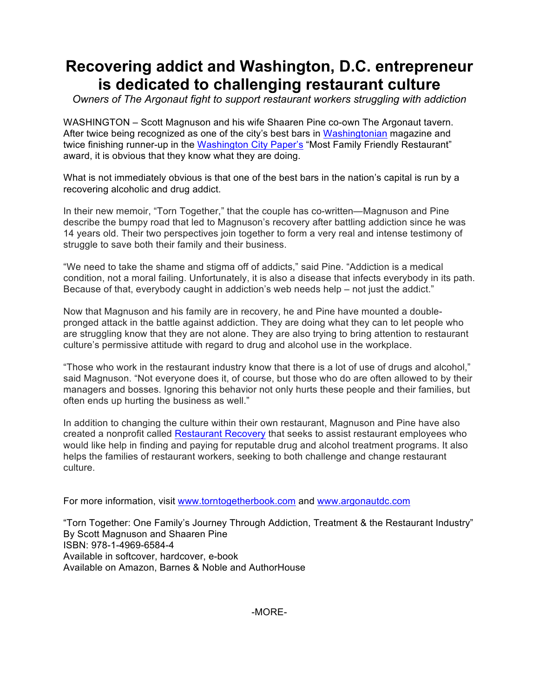## **Recovering addict and Washington, D.C. entrepreneur is dedicated to challenging restaurant culture**

*Owners of The Argonaut fight to support restaurant workers struggling with addiction*

WASHINGTON – Scott Magnuson and his wife Shaaren Pine co-own The Argonaut tavern. After twice being recognized as one of the city's best bars in Washingtonian magazine and twice finishing runner-up in the Washington City Paper's "Most Family Friendly Restaurant" award, it is obvious that they know what they are doing.

What is not immediately obvious is that one of the best bars in the nation's capital is run by a recovering alcoholic and drug addict.

In their new memoir, "Torn Together," that the couple has co-written—Magnuson and Pine describe the bumpy road that led to Magnuson's recovery after battling addiction since he was 14 years old. Their two perspectives join together to form a very real and intense testimony of struggle to save both their family and their business.

"We need to take the shame and stigma off of addicts," said Pine. "Addiction is a medical condition, not a moral failing. Unfortunately, it is also a disease that infects everybody in its path. Because of that, everybody caught in addiction's web needs help – not just the addict."

Now that Magnuson and his family are in recovery, he and Pine have mounted a doublepronged attack in the battle against addiction. They are doing what they can to let people who are struggling know that they are not alone. They are also trying to bring attention to restaurant culture's permissive attitude with regard to drug and alcohol use in the workplace.

"Those who work in the restaurant industry know that there is a lot of use of drugs and alcohol," said Magnuson. "Not everyone does it, of course, but those who do are often allowed to by their managers and bosses. Ignoring this behavior not only hurts these people and their families, but often ends up hurting the business as well."

In addition to changing the culture within their own restaurant, Magnuson and Pine have also created a nonprofit called Restaurant Recovery that seeks to assist restaurant employees who would like help in finding and paying for reputable drug and alcohol treatment programs. It also helps the families of restaurant workers, seeking to both challenge and change restaurant culture.

For more information, visit www.torntogetherbook.com and www.argonautdc.com

"Torn Together: One Family's Journey Through Addiction, Treatment & the Restaurant Industry" By Scott Magnuson and Shaaren Pine ISBN: 978-1-4969-6584-4 Available in softcover, hardcover, e-book Available on Amazon, Barnes & Noble and AuthorHouse

-MORE-